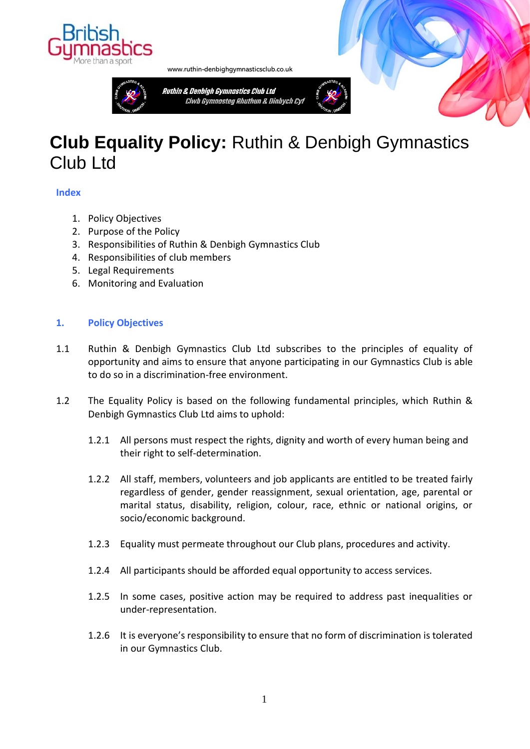

www.ruthin-denbighgymnasticsclub.co.uk

Ruthin & Denbigh Gymnastics Club Ltd



# **Club Equality Policy:** Ruthin & Denbigh Gymnastics Club I td

# **Index**

- 1. Policy Objectives
- 2. Purpose of the Policy
- 3. Responsibilities of Ruthin & Denbigh Gymnastics Club
- 4. Responsibilities of club members
- 5. Legal Requirements
- 6. Monitoring and Evaluation

## **1. Policy Objectives**

- 1.1 Ruthin & Denbigh Gymnastics Club Ltd subscribes to the principles of equality of opportunity and aims to ensure that anyone participating in our Gymnastics Club is able to do so in a discrimination-free environment.
- 1.2 The Equality Policy is based on the following fundamental principles, which Ruthin & Denbigh Gymnastics Club Ltd aims to uphold:
	- 1.2.1 All persons must respect the rights, dignity and worth of every human being and their right to self-determination.
	- 1.2.2 All staff, members, volunteers and job applicants are entitled to be treated fairly regardless of gender, gender reassignment, sexual orientation, age, parental or marital status, disability, religion, colour, race, ethnic or national origins, or socio/economic background.
	- 1.2.3 Equality must permeate throughout our Club plans, procedures and activity.
	- 1.2.4 All participants should be afforded equal opportunity to access services.
	- 1.2.5 In some cases, positive action may be required to address past inequalities or under-representation.
	- 1.2.6 It is everyone's responsibility to ensure that no form of discrimination is tolerated in our Gymnastics Club.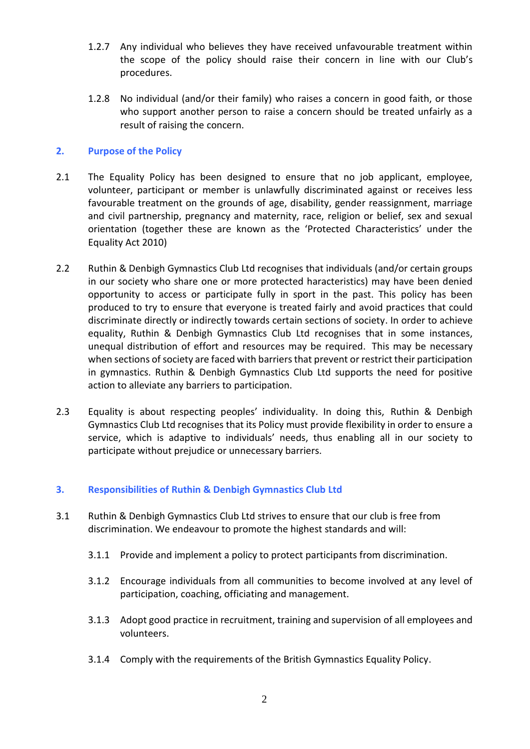- 1.2.7 Any individual who believes they have received unfavourable treatment within the scope of the policy should raise their concern in line with our Club's procedures.
- 1.2.8 No individual (and/or their family) who raises a concern in good faith, or those who support another person to raise a concern should be treated unfairly as a result of raising the concern.

# **2. Purpose of the Policy**

- 2.1 The Equality Policy has been designed to ensure that no job applicant, employee, volunteer, participant or member is unlawfully discriminated against or receives less favourable treatment on the grounds of age, disability, gender reassignment, marriage and civil partnership, pregnancy and maternity, race, religion or belief, sex and sexual orientation (together these are known as the 'Protected Characteristics' under the Equality Act 2010)
- 2.2 Ruthin & Denbigh Gymnastics Club Ltd recognises that individuals (and/or certain groups in our society who share one or more protected haracteristics) may have been denied opportunity to access or participate fully in sport in the past. This policy has been produced to try to ensure that everyone is treated fairly and avoid practices that could discriminate directly or indirectly towards certain sections of society. In order to achieve equality, Ruthin & Denbigh Gymnastics Club Ltd recognises that in some instances, unequal distribution of effort and resources may be required. This may be necessary when sections of society are faced with barriers that prevent or restrict their participation in gymnastics. Ruthin & Denbigh Gymnastics Club Ltd supports the need for positive action to alleviate any barriers to participation.
- 2.3 Equality is about respecting peoples' individuality. In doing this, Ruthin & Denbigh Gymnastics Club Ltd recognises that its Policy must provide flexibility in order to ensure a service, which is adaptive to individuals' needs, thus enabling all in our society to participate without prejudice or unnecessary barriers.

# **3. Responsibilities of Ruthin & Denbigh Gymnastics Club Ltd**

- 3.1 Ruthin & Denbigh Gymnastics Club Ltd strives to ensure that our club is free from discrimination. We endeavour to promote the highest standards and will:
	- 3.1.1 Provide and implement a policy to protect participants from discrimination.
	- 3.1.2 Encourage individuals from all communities to become involved at any level of participation, coaching, officiating and management.
	- 3.1.3 Adopt good practice in recruitment, training and supervision of all employees and volunteers.
	- 3.1.4 Comply with the requirements of the British Gymnastics Equality Policy.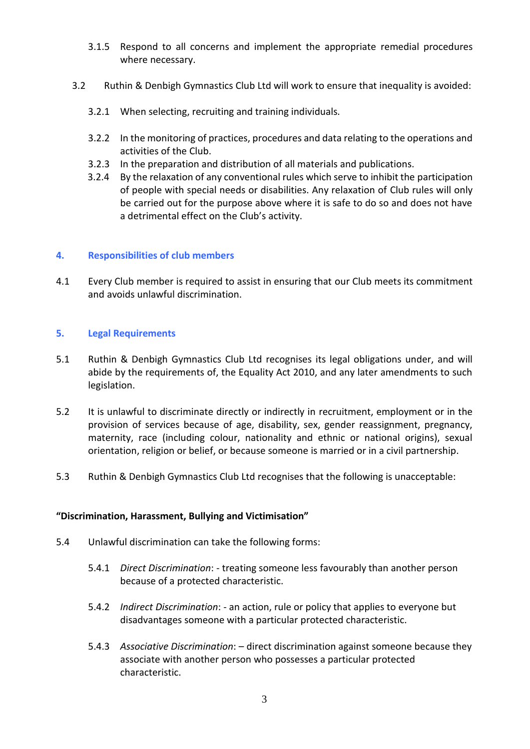- 3.1.5 Respond to all concerns and implement the appropriate remedial procedures where necessary.
- 3.2 Ruthin & Denbigh Gymnastics Club Ltd will work to ensure that inequality is avoided:
	- 3.2.1 When selecting, recruiting and training individuals.
	- 3.2.2 In the monitoring of practices, procedures and data relating to the operations and activities of the Club.
	- 3.2.3 In the preparation and distribution of all materials and publications.
	- 3.2.4 By the relaxation of any conventional rules which serve to inhibit the participation of people with special needs or disabilities. Any relaxation of Club rules will only be carried out for the purpose above where it is safe to do so and does not have a detrimental effect on the Club's activity.

## **4. Responsibilities of club members**

4.1 Every Club member is required to assist in ensuring that our Club meets its commitment and avoids unlawful discrimination.

## **5. Legal Requirements**

- 5.1 Ruthin & Denbigh Gymnastics Club Ltd recognises its legal obligations under, and will abide by the requirements of, the Equality Act 2010, and any later amendments to such legislation.
- 5.2 It is unlawful to discriminate directly or indirectly in recruitment, employment or in the provision of services because of age, disability, sex, gender reassignment, pregnancy, maternity, race (including colour, nationality and ethnic or national origins), sexual orientation, religion or belief, or because someone is married or in a civil partnership.
- 5.3 Ruthin & Denbigh Gymnastics Club Ltd recognises that the following is unacceptable:

#### **"Discrimination, Harassment, Bullying and Victimisation"**

- 5.4 Unlawful discrimination can take the following forms:
	- 5.4.1 *Direct Discrimination*: treating someone less favourably than another person because of a protected characteristic.
	- 5.4.2 *Indirect Discrimination*: an action, rule or policy that applies to everyone but disadvantages someone with a particular protected characteristic.
	- 5.4.3 *Associative Discrimination*: direct discrimination against someone because they associate with another person who possesses a particular protected characteristic.